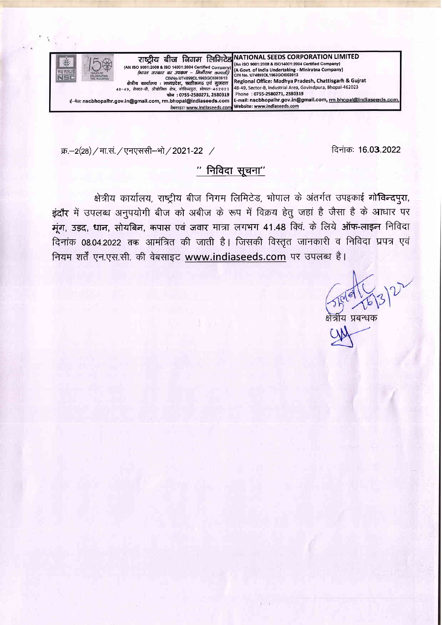

क्र.–2(28) / मा.सं. / एनएससी–भो / 2021-22 / ftext-care ftata in the ftata in the ftata in the ftata in the f

# $"$  निविदा सूचना $"$

क्षेत्रीय कार्यालय, राष्ट्रीय बीज निगम लिमिटेड, भोपाल के अंतर्गत उपइकाई गो**विन्दप्**रा, इंदौर में उपलब्ध अनुपयोगी बीज को अबीज के रूप में विक्रय हेतु जहां है जैसा है के आधार पर मूंग, उड़द, धान, सोयबिन, कपास एवं जवार मात्रा लगभग 41.48 क्वि. के लिये ऑफ-लाइन निविदा दिनांक 08.04.2022 तक आमंत्रित की जाती है। जिसकी विस्तृत जानकारी व निविदा प्रपत्र एवं नियम शर्तें एन.एस.सी. की वेबसाइट www.indiaseeds.com पर उपलब्ध है।

गेय पबन्धक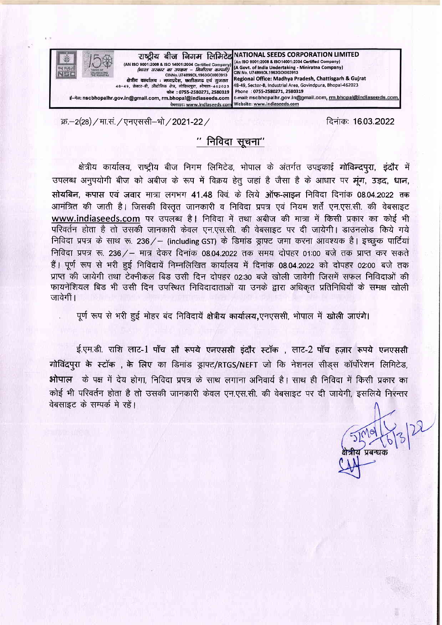

क्र.–2(28) / मा.सं. / एनएससी–भो / 2021-22 / ft $\bar{x}$ : 1603.2022 / ft $\bar{x}$ : 1603.2022

# $"$  निविदा सूचना $"$

क्षेत्रीय कार्यालय, राष्ट्रीय बीज निगम लिमिटेड, भोपाल के अंतर्गत उपइकाई गोविन्दपुरा, इंदौर में उपलब्ध अनुपयोगी बीज को अबीज के रूप में विक्रय हेतु जहां है जैसा है के आधार पर मूंग, उड़द, धान, सोयबिन, कपास एवं जवार मात्रा लगभग 41.48 क्वि. के लिये ऑफ-लाइन निविदा दिनांक 08.04.2022 तक आमंत्रित की जाती है। जिसकी विस्तृत जानकारी व निविदा प्रपत्र एवं नियम शर्तें एन.एस.सी. की वेबसाइट www.indiaseeds.com पर उपलब्ध है। निविदा में तथा अबीज की मात्रा में किसी प्रकार का कोई भी परिवर्तन होता है तो उसकी जानकारी केवल एन.एस.सी. की वेबसाइट पर दी जायेगी। डाउनलोड किये गये निविदा प्रपत्र के साथ रू. 236/- (including GST) के डिमांड ड्राफ्ट जमा करना आवश्यक है। इच्छुक पार्टियां निविदा प्रपत्र रू. 236/- मात्र देकर दिनांक 08.04.2022 तक समय दोपहर 01:00 बजे तक प्राप्त कर सकते हैं। पूर्ण रूप से भरी हुई निविदायें निम्नलिखित कार्यालय में दिनांक 08.04.2022 को दोपहर 02:00 बजे तक प्राप्त की जायेगी तथा टेक्नीकल बिड उसी दिन दोपहर 02:30 बजे खोली जावेगी जिसमें सफल निविदाओं की फायनेंशियल बिड भी उसी दिन उपस्थित निविदादाताओं या उनके द्वारा अधिकृत प्रतिनिधियों के समक्ष खोली जावेगीं।

पूर्ण रूप से भरी हुई मोहर बंद निविदायें क्षेत्रीय कार्यालय,एनएससी, भोपाल में खोली जाएंगे।

ई.एम.डी. राशि लाट-1 पाँच <mark>सौ रूपये एनएससी इंदौर स्टॉक , लाट-2 पाँच हज़ार रूपये एनएससी</mark> गोविंदपुरा के स्टॉक , के लिए का डिमांड ड्राफ्ट/RTGS/NEFT जो कि नेशनल सीडस कॉर्पोरेशन लिमिटेड, भोपाल के पक्ष में देय होगा, निविदा प्रपत्र के साथ लगाना अनिवार्य है। साथ ही निविदा में किसी प्रकार का कोई भी परिवर्तन होता है तो उसकी जानकारी केवल एन.एस.सी. की वेबसाइट पर दी जायेगी, इसलिये निरन्तर<br>वेबसाइट के सम्पर्क मे रहें।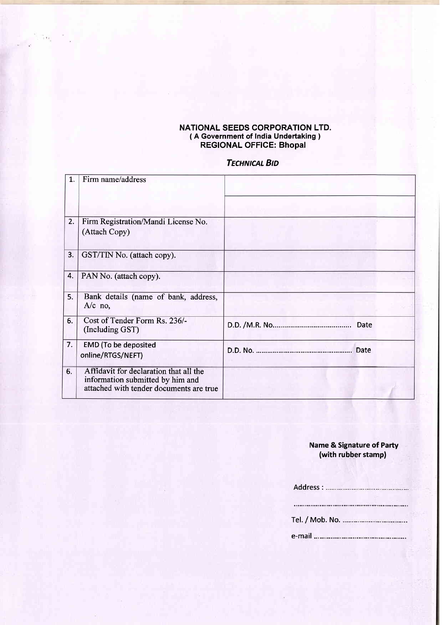#### NATIONAL SEEDS CORPORATION LTD. ( A Government of India Undertaking ) REGIONAL OFFIGE: Bhopal

## **TECHNICAL BID**

| 1. | Firm name/address                                                                                                     |      |
|----|-----------------------------------------------------------------------------------------------------------------------|------|
|    |                                                                                                                       |      |
| 2. | Firm Registration/Mandi License No.<br>(Attach Copy)                                                                  |      |
| 3. | GST/TIN No. (attach copy).                                                                                            |      |
| 4. | PAN No. (attach copy).                                                                                                |      |
| 5. | Bank details (name of bank, address,<br>$A/c$ no,                                                                     |      |
| 6. | Cost of Tender Form Rs. 236/-<br>(Including GST)                                                                      | Date |
| 7. | <b>EMD</b> (To be deposited<br>online/RTGS/NEFT)                                                                      | Date |
| 6. | Affidavit for declaration that all the<br>information submitted by him and<br>attached with tender documents are true |      |

### Name & Signature of Party (with rubber stamp)

| e-mail ……………………………… |  |
|---------------------|--|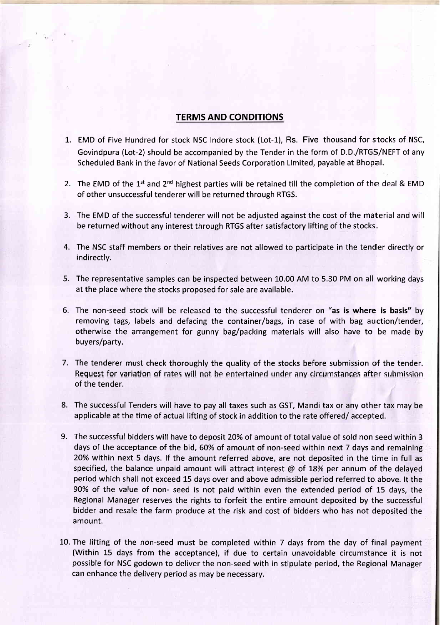## TERMS AND CONDITIONS

- 1,. EMD of Five Hundred for stock NSC Indore stock (Lot-1), Rs. Five thousand for stocks of NSC, Govindpura (Lot-2) should be accompanied bythe Tender in the form of D.D./RTGS/NEFTof any Scheduled Bank in the favor of National Seeds Corporation Limited, payable at Bhopal.
- 2. The EMD of the 1<sup>st</sup> and 2<sup>nd</sup> highest parties will be retained till the completion of the deal & EMD of other unsuccessful tenderer will be returned through RTGS.
- 3. The EMD of the successful tenderer will not be adjusted against the cost of the material and will be returned without any interest through RTGS after satisfactory lifting of the stocks-
- 4. The NSC staff members or their relatives are not allowed to participate in the tender directly or indirectly.
- 5. The representative samples can be inspected between 10.00 AM to 5.30 PM on all working days at the place where the stocks proposed for sale are available.
- 6. The non-seed stock will be released to the successful tenderer on "as is where is basis" by removing tags, labels and defacing the container/bags, in case of with bag auction/tender, otherwise the arrangement for gunny bag/packing materials will also have to be made by buyers/party.
- 7. The tenderer must check thoroughly the quality of the stocks before submission of the tender. Request for variation of rates will not be entertained under any circumstances after submission of the tender.
- 8. The successful Tenders will have to pay all taxes such as GST, Mandi tax or any other tax may be applicable at the time of actual lifting of stock in addition to the rate offered/ accepted.
- The successful bidders will have to deposit 2O% of amount of total value of sold non seed within 3 9.days of the acceptance of the bid, 60% of amount of non-seed within next 7 days and remaining 20% within next 5 days. lf the amount referred above, are not deposited in the time in full as specified, the balance unpaid amount will attract interest  $\omega$  of 18% per annum of the delayed period which shall not exceed 15 days over and above admissible period referred to above. lt the 90% of the value of non- seed is not paid within even the extended period of 15 days, the Regional Manager reserves the rights to forfeit the entire amount deposited by the successful bidder and resale the farm produce at the risk and cost of bidders who has not deposited the amount.
- 10. The lifting of the non-seed must be completed within 7 days from the day of final payment (Within 15 days from the acceptance), if due to certain unavoidable circumstance it is not possible for NSC godown to deliver the non-seed with in stipulate period, the Regional Manager can enhance the delivery period as may be necessary.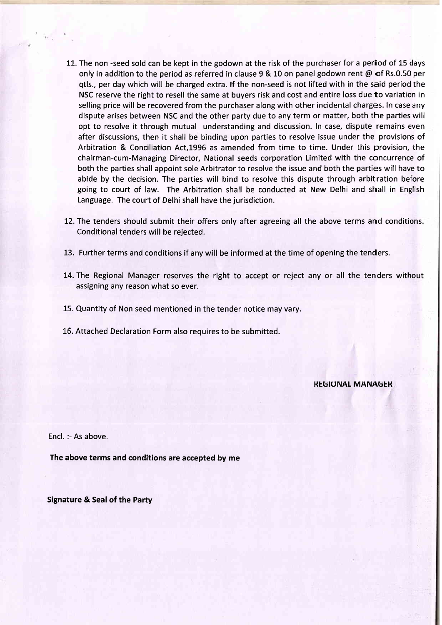- 11. The non -seed sold can be kept in the godown at the risk of the purchaser for a period of 15 days only in addition to the period as referred in clause 9 & 10 on panel godown rent  $\omega$  of Rs.0.50 per qtls., per day which will be charged extra. lf the non-seed is not lifted with in the said period the NSC reserve the right to resell the same at buyers risk and cost and entire loss due to variation in selling price will be recovered from the purchaser along with other incidental charges. In case any dispute arises between NSC and the other party due to any term or matter, both the parties will opt to resolve it through mutual understanding and discussion. In case, dispute remains even after discussions, then it shall be binding upon parties to resolve issue under the provisions of Arbitration & Conciliation Act,1996 as amended from time to time. Under this provision, the chairman-cum-Managing Director, National seeds corporation Limited with the concurrence of both the parties shall appoint sole Arbitrator to resolve the issue and both the parties will have to abide by the decision. The parties will bind to resolve this dispute through arbitration before going to court of law. The Arbitration shall be conducted at New Delhi and shall in English Language. The court of Delhi shall have the jurisdiction.
- 12. The tenders should submit their offers only after agreeing all the above terms and conditions. Conditional tenders will be rejected.
- 13. Further terms and conditions if any will be informed at the time of opening the tenders.
- 14.The Regional Manager reserves the right to accept or reject any or all the tenders without assigning any reason what so ever.
- 15. Quantity of Non seed mentioned in the tender notice may vary.
- 16. Attached Declaration Form also requires to be submitted.

**REGIUNAL MANAGER** 

Encl. :- As above.

The above terms and conditions are accepted by me

Signature & Seal of the Party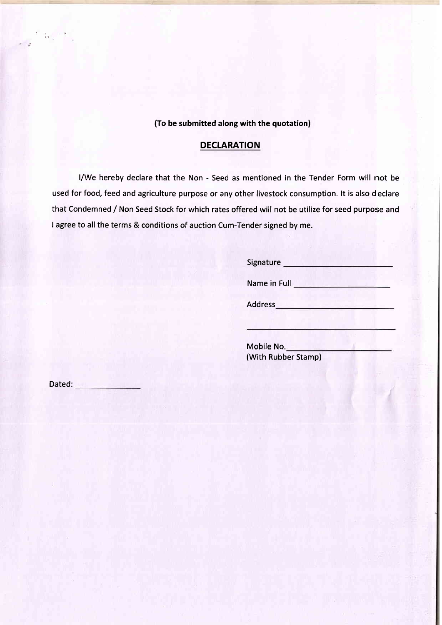(To be submitted along with the quotation)

## DECLARATION

l/We hereby declare that the Non - Seed as mentioned in the Tender Form will not be used for food, feed and agriculture purpose or any other livestock consumption. lt is also declare that Condemned / Non Seed Stock for which rates offered will not be utilize for seed purpose and I agree to all the terms & conditions of auction Cum-Tender signed by me.

> Signature **Signature** Name in Full Address **Address and Address and Address and Address and Address and Address and Address and Address and Address and Address and Address and Address and Address and Address and Address and Address and Address and Address a**

Mobile No. (With Rubber Stamp)

Dated:

 $\overline{\Omega_{\rm{c}}^2}$